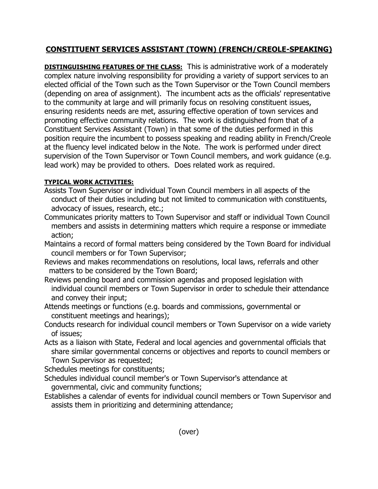## **CONSTITUENT SERVICES ASSISTANT (TOWN) (FRENCH/CREOLE-SPEAKING)**

**DISTINGUISHING FEATURES OF THE CLASS:** This is administrative work of a moderately complex nature involving responsibility for providing a variety of support services to an elected official of the Town such as the Town Supervisor or the Town Council members (depending on area of assignment). The incumbent acts as the officials' representative to the community at large and will primarily focus on resolving constituent issues, ensuring residents needs are met, assuring effective operation of town services and promoting effective community relations. The work is distinguished from that of a Constituent Services Assistant (Town) in that some of the duties performed in this position require the incumbent to possess speaking and reading ability in French/Creole at the fluency level indicated below in the Note. The work is performed under direct supervision of the Town Supervisor or Town Council members, and work guidance (e.g. lead work) may be provided to others. Does related work as required.

## **TYPICAL WORK ACTIVITIES:**

- Assists Town Supervisor or individual Town Council members in all aspects of the conduct of their duties including but not limited to communication with constituents, advocacy of issues, research, etc.;
- Communicates priority matters to Town Supervisor and staff or individual Town Council members and assists in determining matters which require a response or immediate action;
- Maintains a record of formal matters being considered by the Town Board for individual council members or for Town Supervisor;
- Reviews and makes recommendations on resolutions, local laws, referrals and other matters to be considered by the Town Board;
- Reviews pending board and commission agendas and proposed legislation with individual council members or Town Supervisor in order to schedule their attendance and convey their input;
- Attends meetings or functions (e.g. boards and commissions, governmental or constituent meetings and hearings);
- Conducts research for individual council members or Town Supervisor on a wide variety of issues;
- Acts as a liaison with State, Federal and local agencies and governmental officials that share similar governmental concerns or objectives and reports to council members or Town Supervisor as requested;
- Schedules meetings for constituents;
- Schedules individual council member's or Town Supervisor's attendance at governmental, civic and community functions;
- Establishes a calendar of events for individual council members or Town Supervisor and assists them in prioritizing and determining attendance;